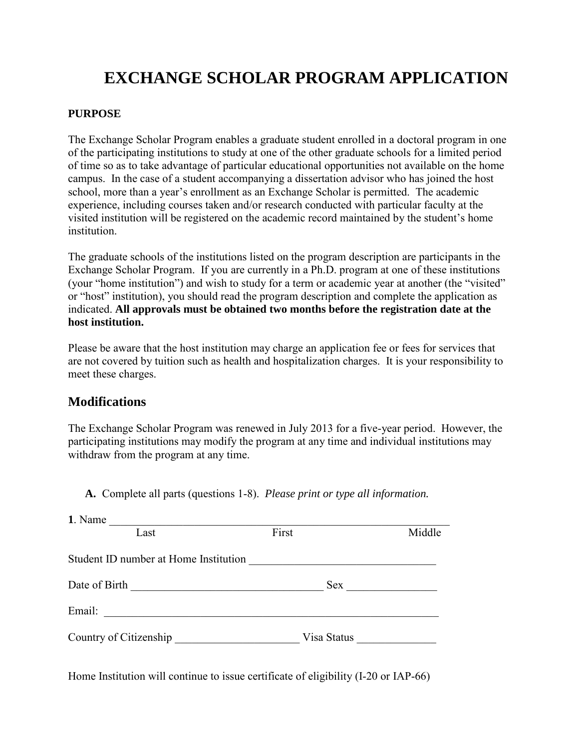# **EXCHANGE SCHOLAR PROGRAM APPLICATION**

#### **PURPOSE**

The Exchange Scholar Program enables a graduate student enrolled in a doctoral program in one of the participating institutions to study at one of the other graduate schools for a limited period of time so as to take advantage of particular educational opportunities not available on the home campus. In the case of a student accompanying a dissertation advisor who has joined the host school, more than a year's enrollment as an Exchange Scholar is permitted. The academic experience, including courses taken and/or research conducted with particular faculty at the visited institution will be registered on the academic record maintained by the student's home institution.

The graduate schools of the institutions listed on the program description are participants in the Exchange Scholar Program. If you are currently in a Ph.D. program at one of these institutions (your "home institution") and wish to study for a term or academic year at another (the "visited" or "host" institution), you should read the program description and complete the application as indicated. **All approvals must be obtained two months before the registration date at the host institution.**

Please be aware that the host institution may charge an application fee or fees for services that are not covered by tuition such as health and hospitalization charges. It is your responsibility to meet these charges.

### **Modifications**

The Exchange Scholar Program was renewed in July 2013 for a five-year period. However, the participating institutions may modify the program at any time and individual institutions may withdraw from the program at any time.

**A.** Complete all parts (questions 1-8). *Please print or type all information.* 

| 1. Name                                                                                                    |             |        |
|------------------------------------------------------------------------------------------------------------|-------------|--------|
| Last                                                                                                       | First       | Middle |
| Student ID number at Home Institution                                                                      |             |        |
| Date of Birth<br>the control of the control of the control of the control of the control of the control of | Sex         |        |
| Email:                                                                                                     |             |        |
| Country of Citizenship                                                                                     | Visa Status |        |

Home Institution will continue to issue certificate of eligibility (I-20 or IAP-66)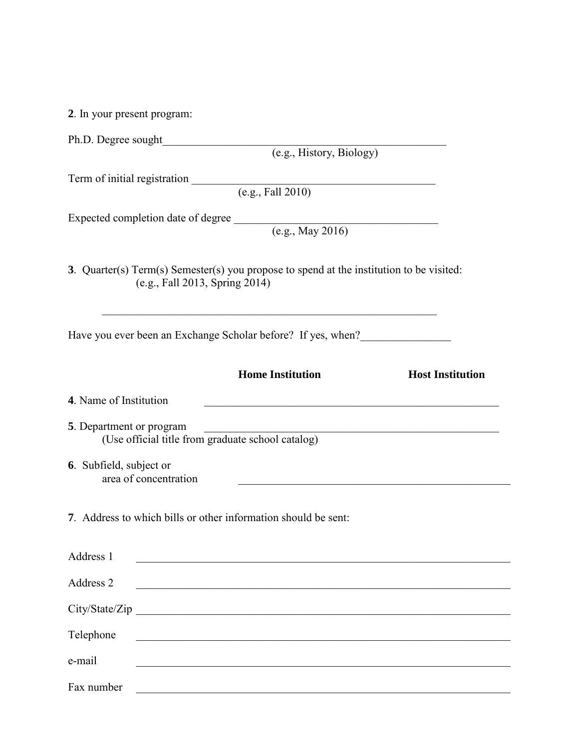**2**. In your present program:

| Term of initial registration (e.g., Fall 2010)                                                                                                                            |
|---------------------------------------------------------------------------------------------------------------------------------------------------------------------------|
|                                                                                                                                                                           |
| Expected completion date of degree (e.g., May 2016)                                                                                                                       |
| 3. Quarter(s) Term(s) Semester(s) you propose to spend at the institution to be visited:<br>(e.g., Fall 2013, Spring 2014)                                                |
| Have you ever been an Exchange Scholar before? If yes, when?                                                                                                              |
| <b>Home Institution</b><br><b>Host Institution</b>                                                                                                                        |
| 4. Name of Institution                                                                                                                                                    |
| 5. Department or program<br><u> 1989 - Johann John Stein, mars an deus Amerikaansk kommunister (</u><br>(Use official title from graduate school catalog)                 |
| 6. Subfield, subject or<br>area of concentration<br><u> 1989 - Johann Stein, marwolaethau a bhann an t-Amhainn an t-Amhainn an t-Amhainn an t-Amhainn an t-Amhainn an</u> |
| 7. Address to which bills or other information should be sent:                                                                                                            |
| Address 1                                                                                                                                                                 |
| Address 2                                                                                                                                                                 |
|                                                                                                                                                                           |
| Telephone<br><u> 1989 - Johann John Stone, mars eta bainar eta bainar eta baina eta baina eta baina eta baina eta baina eta b</u>                                         |
| e-mail                                                                                                                                                                    |

Fax number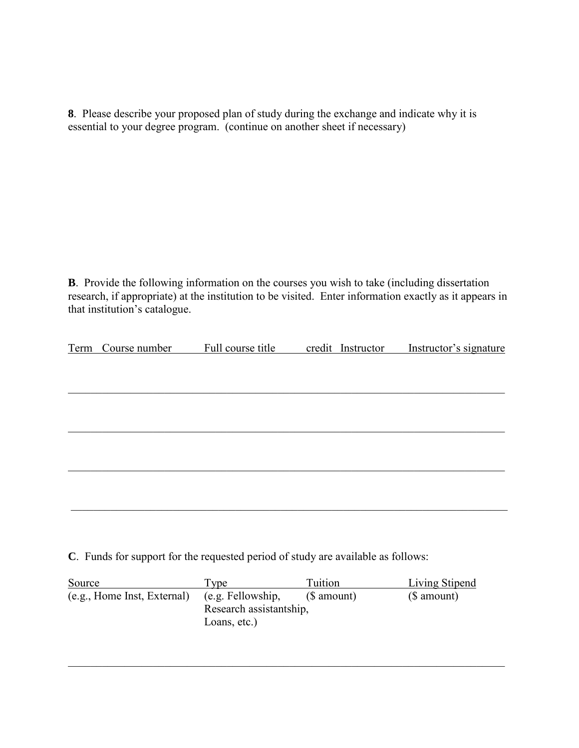**8**. Please describe your proposed plan of study during the exchange and indicate why it is essential to your degree program. (continue on another sheet if necessary)

**B**. Provide the following information on the courses you wish to take (including dissertation research, if appropriate) at the institution to be visited. Enter information exactly as it appears in that institution's catalogue.

| Term Course number | Full course title | credit Instructor | Instructor's signature |
|--------------------|-------------------|-------------------|------------------------|
|                    |                   |                   |                        |
|                    |                   |                   |                        |
|                    |                   |                   |                        |
|                    |                   |                   |                        |
|                    |                   |                   |                        |
|                    |                   |                   |                        |
|                    |                   |                   |                        |
|                    |                   |                   |                        |
|                    |                   |                   |                        |

**C**. Funds for support for the requested period of study are available as follows:

| Source                      | vpe                     | Tuition     | <b>Living Stipend</b> |
|-----------------------------|-------------------------|-------------|-----------------------|
| (e.g., Home Inst, External) | (e.g. Fellowship,       | (\$ amount) | (\$ amount)           |
|                             | Research assistantship, |             |                       |
|                             | Loans, etc.)            |             |                       |

\_\_\_\_\_\_\_\_\_\_\_\_\_\_\_\_\_\_\_\_\_\_\_\_\_\_\_\_\_\_\_\_\_\_\_\_\_\_\_\_\_\_\_\_\_\_\_\_\_\_\_\_\_\_\_\_\_\_\_\_\_\_\_\_\_\_\_\_\_\_\_\_\_\_\_\_\_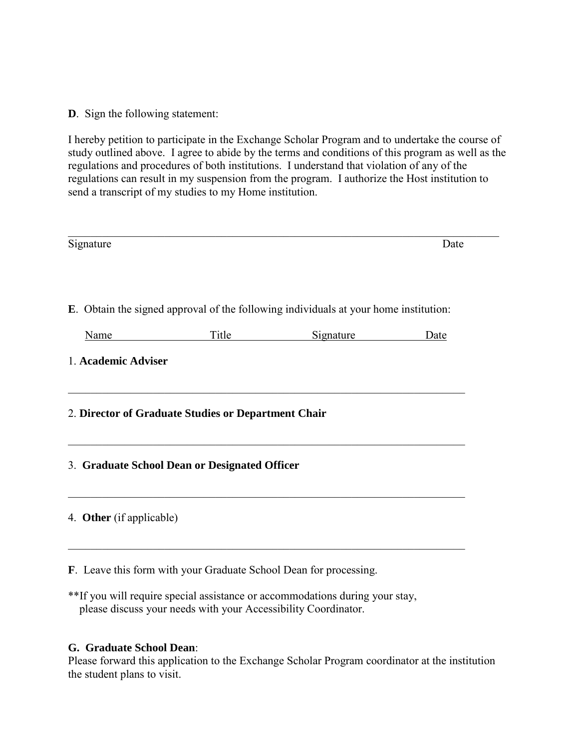**D**. Sign the following statement:

I hereby petition to participate in the Exchange Scholar Program and to undertake the course of study outlined above. I agree to abide by the terms and conditions of this program as well as the regulations and procedures of both institutions. I understand that violation of any of the regulations can result in my suspension from the program. I authorize the Host institution to send a transcript of my studies to my Home institution.

| Signature                |                                                     |                                                                                      | Date |
|--------------------------|-----------------------------------------------------|--------------------------------------------------------------------------------------|------|
|                          |                                                     | E. Obtain the signed approval of the following individuals at your home institution: |      |
| Name                     | <b>Title</b>                                        | Signature                                                                            | Date |
| 1. Academic Adviser      |                                                     |                                                                                      |      |
|                          | 2. Director of Graduate Studies or Department Chair |                                                                                      |      |
|                          | 3. Graduate School Dean or Designated Officer       |                                                                                      |      |
| 4. Other (if applicable) |                                                     |                                                                                      |      |
|                          |                                                     |                                                                                      |      |

**F**. Leave this form with your Graduate School Dean for processing.

\*\*If you will require special assistance or accommodations during your stay, please discuss your needs with your Accessibility Coordinator.

#### **G. Graduate School Dean**:

Please forward this application to the Exchange Scholar Program coordinator at the institution the student plans to visit.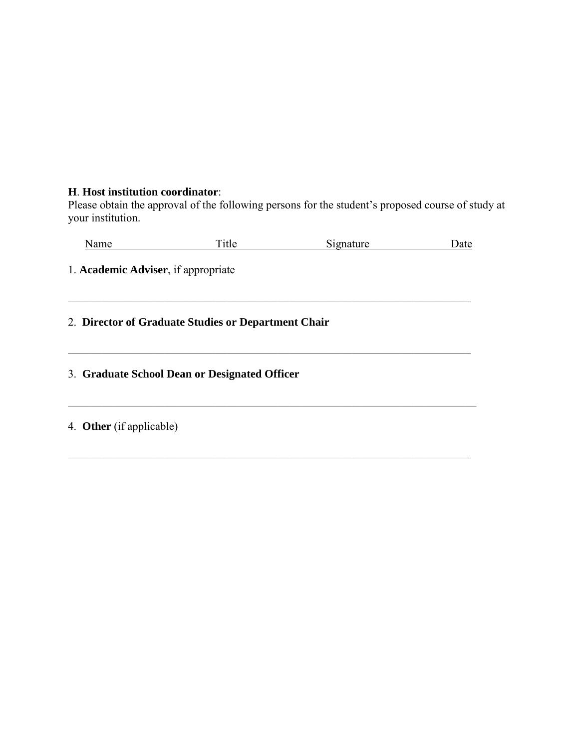#### **H**. **Host institution coordinator**:

Please obtain the approval of the following persons for the student's proposed course of study at your institution.

|  | Name | m<br>ritle i | -<br>Signature | Date |
|--|------|--------------|----------------|------|
|--|------|--------------|----------------|------|

\_\_\_\_\_\_\_\_\_\_\_\_\_\_\_\_\_\_\_\_\_\_\_\_\_\_\_\_\_\_\_\_\_\_\_\_\_\_\_\_\_\_\_\_\_\_\_\_\_\_\_\_\_\_\_\_\_\_\_\_\_\_\_\_\_\_\_\_\_\_\_

\_\_\_\_\_\_\_\_\_\_\_\_\_\_\_\_\_\_\_\_\_\_\_\_\_\_\_\_\_\_\_\_\_\_\_\_\_\_\_\_\_\_\_\_\_\_\_\_\_\_\_\_\_\_\_\_\_\_\_\_\_\_\_\_\_\_\_\_\_\_\_

 $\_$ 

\_\_\_\_\_\_\_\_\_\_\_\_\_\_\_\_\_\_\_\_\_\_\_\_\_\_\_\_\_\_\_\_\_\_\_\_\_\_\_\_\_\_\_\_\_\_\_\_\_\_\_\_\_\_\_\_\_\_\_\_\_\_\_\_\_\_\_\_\_\_\_

1. **Academic Adviser**, if appropriate

2. **Director of Graduate Studies or Department Chair**

3. **Graduate School Dean or Designated Officer**

4. **Other** (if applicable)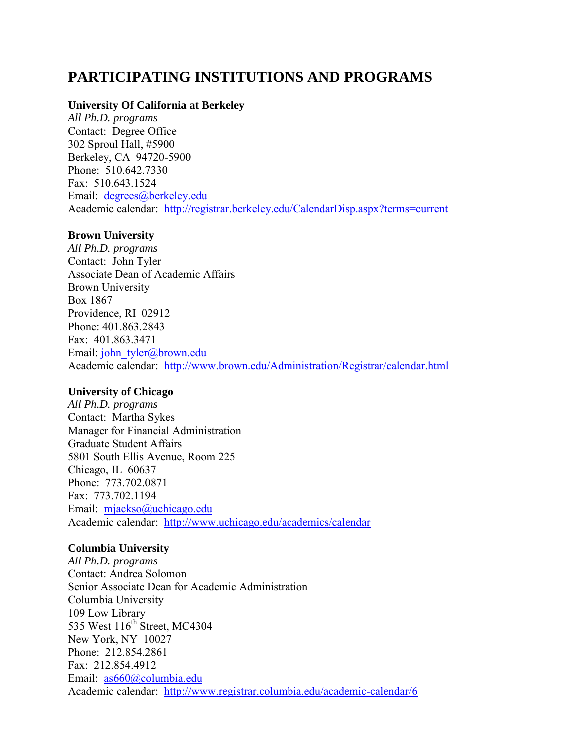### **PARTICIPATING INSTITUTIONS AND PROGRAMS**

#### **University Of California at Berkeley**

*All Ph.D. programs* Contact: Degree Office 302 Sproul Hall, #5900 Berkeley, CA 94720-5900 Phone: 510.642.7330 Fax: 510.643.1524 Email: [degrees@berkeley.edu](mailto:degrees@berkeley.edu) Academic calendar: <http://registrar.berkeley.edu/CalendarDisp.aspx?terms=current>

#### **Brown University**

*All Ph.D. programs* Contact: John Tyler Associate Dean of Academic Affairs Brown University Box 1867 Providence, RI 02912 Phone: 401.863.2843 Fax: 401.863.3471 Email: [john\\_tyler@brown.edu](mailto:john_tyler@brown.edu) Academic calendar: <http://www.brown.edu/Administration/Registrar/calendar.html>

#### **University of Chicago**

*All Ph.D. programs* Contact: Martha Sykes Manager for Financial Administration Graduate Student Affairs 5801 South Ellis Avenue, Room 225 Chicago, IL 60637 Phone: 773.702.0871 Fax: 773.702.1194 Email: [mjackso@uchicago.edu](mailto:mjackso@uchicago.edu) Academic calendar: <http://www.uchicago.edu/academics/calendar>

#### **Columbia University**

*All Ph.D. programs*  Contact: Andrea Solomon Senior Associate Dean for Academic Administration Columbia University 109 Low Library 535 West 116<sup>th</sup> Street, MC4304 New York, NY 10027 Phone: 212.854.2861 Fax: 212.854.4912 Email: [as660@columbia.edu](mailto:as660@columbia.edu) Academic calendar: <http://www.registrar.columbia.edu/academic-calendar/6>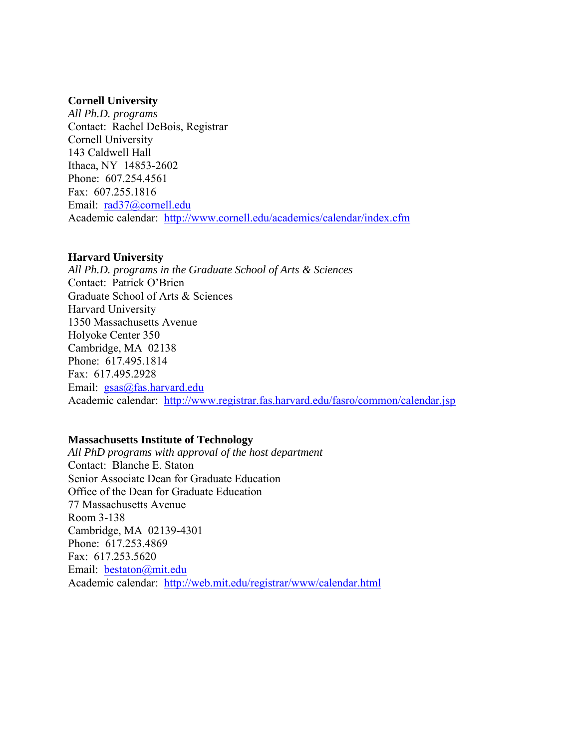#### **Cornell University**

*All Ph.D. programs*  Contact: Rachel DeBois, Registrar Cornell University 143 Caldwell Hall Ithaca, NY 14853-2602 Phone: 607.254.4561 Fax: 607.255.1816 Email: [rad37@cornell.edu](mailto:rad37@cornell.edu) Academic calendar: <http://www.cornell.edu/academics/calendar/index.cfm>

#### **Harvard University**

*All Ph.D. programs in the Graduate School of Arts & Sciences* Contact: Patrick O'Brien Graduate School of Arts & Sciences Harvard University 1350 Massachusetts Avenue Holyoke Center 350 Cambridge, MA 02138 Phone: 617.495.1814 Fax: 617.495.2928 Email: [gsas@fas.harvard.edu](mailto:gsas@fas.harvard.edu) Academic calendar: <http://www.registrar.fas.harvard.edu/fasro/common/calendar.jsp>

#### **Massachusetts Institute of Technology**

*All PhD programs with approval of the host department*  Contact: Blanche E. Staton Senior Associate Dean for Graduate Education Office of the Dean for Graduate Education 77 Massachusetts Avenue Room 3-138 Cambridge, MA 02139-4301 Phone: 617.253.4869 Fax: 617.253.5620 Email: [bestaton@mit.edu](mailto:bestaton@mit.edu) Academic calendar: <http://web.mit.edu/registrar/www/calendar.html>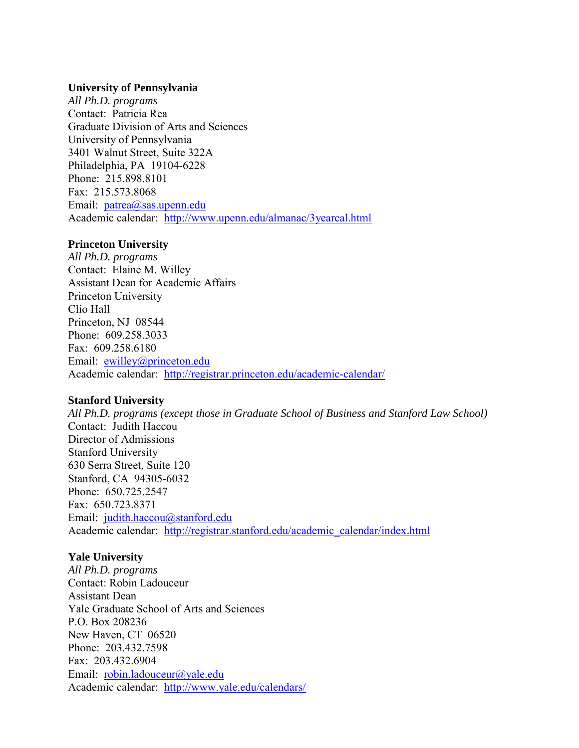#### **University of Pennsylvania**

*All Ph.D. programs* Contact: Patricia Rea Graduate Division of Arts and Sciences University of Pennsylvania 3401 Walnut Street, Suite 322A Philadelphia, PA 19104-6228 Phone: 215.898.8101 Fax: 215.573.8068 Email: [patrea@sas.upenn.edu](mailto:patrea@sas.upenn.edu) Academic calendar: <http://www.upenn.edu/almanac/3yearcal.html>

#### **Princeton University**

*All Ph.D. programs*  Contact: Elaine M. Willey Assistant Dean for Academic Affairs Princeton University Clio Hall Princeton, NJ 08544 Phone: 609.258.3033 Fax: 609.258.6180 Email: [ewilley@princeton.edu](mailto:ewilley@princeton.edu) Academic calendar: <http://registrar.princeton.edu/academic-calendar/>

#### **Stanford University**

*All Ph.D. programs (except those in Graduate School of Business and Stanford Law School)*  Contact: Judith Haccou Director of Admissions Stanford University 630 Serra Street, Suite 120 Stanford, CA 94305-6032 Phone: 650.725.2547 Fax: 650.723.8371 Email: [judith.haccou@stanford.edu](mailto:judith.haccou@stanford.edu) Academic calendar: [http://registrar.stanford.edu/academic\\_calendar/index.html](http://registrar.stanford.edu/academic_calendar/index.html)

#### **Yale University**

*All Ph.D. programs*  Contact: Robin Ladouceur Assistant Dean Yale Graduate School of Arts and Sciences P.O. Box 208236 New Haven, CT 06520 Phone: 203.432.7598 Fax: 203.432.6904 Email: [robin.ladouceur@yale.edu](mailto:robin.ladouceur@yale.edu) Academic calendar: <http://www.yale.edu/calendars/>